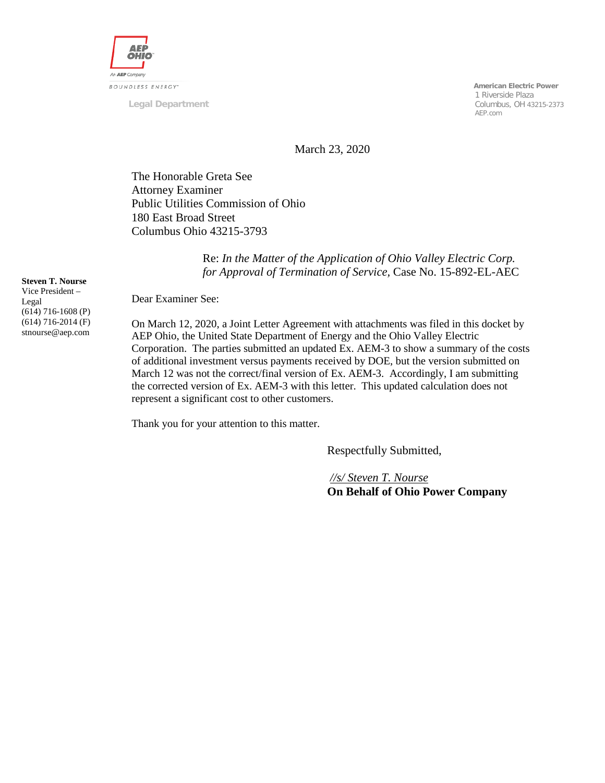

**Legal Department**

 **American Electric Power** 1 Riverside Plaza Columbus, OH 43215-2373 AEP.com

March 23, 2020

The Honorable Greta See Attorney Examiner Public Utilities Commission of Ohio 180 East Broad Street Columbus Ohio 43215-3793

> Re: *In the Matter of the Application of Ohio Valley Electric Corp. for Approval of Termination of Service,* Case No. 15-892-EL-AEC

**Steven T. Nourse**

Vice President – Legal (614) 716-1608 (P) (614) 716-2014 (F) stnourse@aep.com

Dear Examiner See:

On March 12, 2020, a Joint Letter Agreement with attachments was filed in this docket by AEP Ohio, the United State Department of Energy and the Ohio Valley Electric Corporation. The parties submitted an updated Ex. AEM-3 to show a summary of the costs of additional investment versus payments received by DOE, but the version submitted on March 12 was not the correct/final version of Ex. AEM-3. Accordingly, I am submitting the corrected version of Ex. AEM-3 with this letter. This updated calculation does not represent a significant cost to other customers.

Thank you for your attention to this matter.

Respectfully Submitted,

*//s/ Steven T. Nourse* **On Behalf of Ohio Power Company**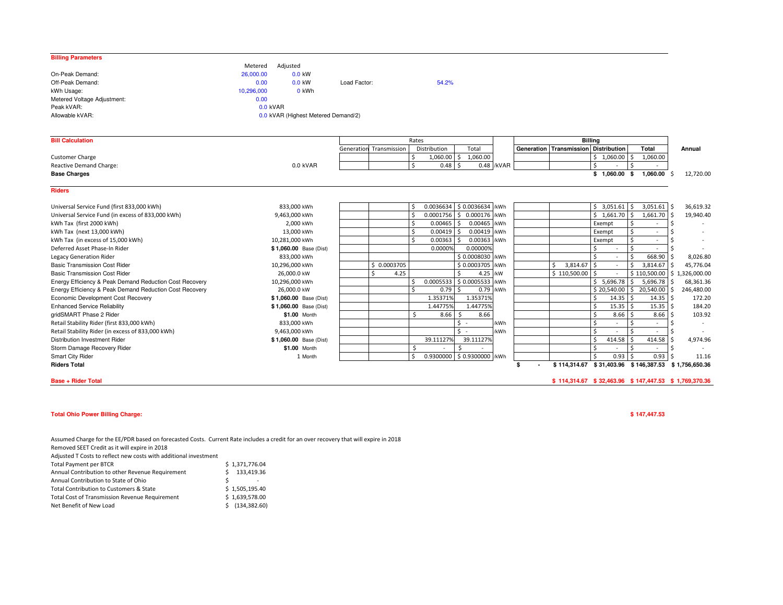| <b>Billing Parameters</b>                               |                                     |                         |                    |                             |            |    |                                      |                |                                       |                 |
|---------------------------------------------------------|-------------------------------------|-------------------------|--------------------|-----------------------------|------------|----|--------------------------------------|----------------|---------------------------------------|-----------------|
|                                                         | Adjusted<br>Metered                 |                         |                    |                             |            |    |                                      |                |                                       |                 |
| On-Peak Demand:                                         | 26,000.00<br>$0.0$ kW               |                         |                    |                             |            |    |                                      |                |                                       |                 |
| Off-Peak Demand:                                        | 0.00<br>0.0 kW                      | Load Factor:            | 54.2%              |                             |            |    |                                      |                |                                       |                 |
| kWh Usage:                                              | 10.296.000<br>0 kWh                 |                         |                    |                             |            |    |                                      |                |                                       |                 |
| Metered Voltage Adjustment:                             | 0.00                                |                         |                    |                             |            |    |                                      |                |                                       |                 |
| Peak kVAR:                                              | $0.0$ kVAR                          |                         |                    |                             |            |    |                                      |                |                                       |                 |
| Allowable kVAR:                                         | 0.0 kVAR (Highest Metered Demand/2) |                         |                    |                             |            |    |                                      |                |                                       |                 |
|                                                         |                                     |                         |                    |                             |            |    |                                      |                |                                       |                 |
| <b>Bill Calculation</b>                                 |                                     |                         | Rates              |                             |            |    |                                      | <b>Billing</b> |                                       |                 |
|                                                         |                                     | Generation Transmission | Distribution       | Total                       |            |    | Generation Transmission Distribution |                | Total                                 | Annual          |
| <b>Customer Charge</b>                                  |                                     |                         | 1,060.00<br>Ś      | 1,060.00<br>Ŝ.              |            |    |                                      | $$1,060.00$ \$ | 1,060.00                              |                 |
| Reactive Demand Charge:                                 | 0.0 kVAR                            |                         | Ś                  | $0.48$ \$                   | 0.48 /kVAR |    |                                      | Ŝ.             |                                       |                 |
| <b>Base Charges</b>                                     |                                     |                         |                    |                             |            |    |                                      | \$1,060.00\$   | 1,060.00                              | 12,720.00<br>-Ś |
|                                                         |                                     |                         |                    |                             |            |    |                                      |                |                                       |                 |
| <b>Riders</b>                                           |                                     |                         |                    |                             |            |    |                                      |                |                                       |                 |
| Universal Service Fund (first 833,000 kWh)              | 833,000 kWh                         |                         | Ś.                 | 0.0036634 \$ 0.0036634 /kWh |            |    |                                      | $$3,051.61$ \$ | 3,051.61                              | 36,619.32       |
| Universal Service Fund (in excess of 833,000 kWh)       | 9,463,000 kWh                       |                         | \$.                | $0.0001756$ \$ 0.000176     | /kWh       |    |                                      | $$1,661.70$ \$ | 1,661.70                              | 19,940.40       |
| kWh Tax (first 2000 kWh)                                | 2,000 kWh                           |                         | Ś<br>$0.00465$ \$  | 0.00465                     | /kWh       |    |                                      | Exempt         |                                       |                 |
| kWh Tax (next 13,000 kWh)                               | 13,000 kWh                          |                         | Ś.<br>$0.00419$ \$ | 0.00419                     | /kWh       |    |                                      | Exempt         | Ŝ.                                    |                 |
| kWh Tax (in excess of 15,000 kWh)                       | 10,281,000 kWh                      |                         | Ś<br>$0.00363$ \$  | 0.00363                     | /kWh       |    |                                      | Exempt         | Ś                                     |                 |
| Deferred Asset Phase-In Rider                           | \$1,060.00 Base (Dist)              |                         | 0.0000%            | 0.00000%                    |            |    |                                      | Ŝ.             | Ŝ.                                    |                 |
| Legacy Generation Rider                                 | 833,000 kWh                         |                         |                    | \$0.0008030 /kWh            |            |    |                                      | $\zeta$        | 668.90                                | 8,026.80        |
| <b>Basic Transmission Cost Rider</b>                    | 10,296,000 kWh                      | \$ 0.0003705            |                    | \$0.0003705                 | /kWh       |    | 3,814.67<br>\$                       | Ś              | 3,814.67                              | 45,776.04<br>-Ś |
| <b>Basic Transmission Cost Rider</b>                    | 26,000.0 kW                         | Ŝ                       | 4.25               | \$<br>4.25                  | /kW        |    | \$110,500.00                         | $\zeta$        | \$110,500.00                          | \$1,326,000.00  |
| Energy Efficiency & Peak Demand Reduction Cost Recovery | 10,296,000 kWh                      |                         | Ś.                 | 0.0005533 \$ 0.0005533      | /kWh       |    |                                      | \$5,696.78     | 5,696.78<br>Ŝ.                        | 68,361.36<br>-S |
| Energy Efficiency & Peak Demand Reduction Cost Recovery | 26,000.0 kW                         |                         | \$                 | $0.79$ \$<br>0.79           | /kWh       |    |                                      | \$20,540.00    | 20,540.00 \$<br>I \$                  | 246,480.00      |
| Economic Development Cost Recovery                      | \$1,060.00 Base (Dist)              |                         | 1.35371%           | 1.35371%                    |            |    |                                      | Ś<br>14.35     | 14.35<br>-Ś                           | l \$<br>172.20  |
| <b>Enhanced Service Reliability</b>                     | \$1,060.00 Base (Dist)              |                         | 1.44775%           | 1.44775%                    |            |    |                                      | Ś<br>15.35     | 15.35<br>-S                           | l \$<br>184.20  |
| gridSMART Phase 2 Rider                                 | \$1.00 Month                        |                         | Ŝ.<br>8.66         | 8.66<br>S.                  |            |    |                                      | Ś<br>8.66      | 8.66<br>-S                            | 103.92<br>۱Ś    |
| Retail Stability Rider (first 833,000 kWh)              | 833,000 kWh                         |                         |                    | $\mathsf{S}$ -              | /kWh       |    |                                      | Ŝ.             | $\sim$                                | Ś               |
| Retail Stability Rider (in excess of 833,000 kWh)       | 9,463,000 kWh                       |                         |                    | $\zeta$ .                   | /kWh       |    |                                      | \$             |                                       | Ś               |
| Distribution Investment Rider                           | \$1,060.00 Base (Dist)              |                         | 39.11127%          | 39.11127%                   |            |    |                                      | 414.58<br>Ś    | 414.58                                | 4,974.96        |
| Storm Damage Recovery Rider                             | \$1.00 Month                        |                         | Ŝ.                 | Ś.                          |            |    |                                      | Ś              |                                       | -Ś              |
| <b>Smart City Rider</b>                                 | 1 Month                             |                         | \$.                | 0.9300000 \$ 0.9300000 /kWh |            |    |                                      | 0.93<br>Ś      | <sup>\$</sup><br>0.93                 | 11.16           |
| <b>Riders Total</b>                                     |                                     |                         |                    |                             |            | \$ |                                      |                | \$114,314.67 \$31,403.96 \$146,387.53 | \$1,756,650.36  |
|                                                         |                                     |                         |                    |                             |            |    |                                      |                |                                       |                 |

## **Base + Rider Total**

**\$ 32,463.96 114,314.67 \$ 147,447.53 \$ 1,769,370.36 \$** 

## **Total Ohio Power Billing Charge:**

**\$ 147,447.53**

Assumed Charge for the EE/PDR based on forecasted Costs. Current Rate includes a credit for an over recovery that will expire in 2018

Removed SEET Credit as it will expire in 2018

| Adjusted T Costs to reflect new costs with additional investment |   |                 |
|------------------------------------------------------------------|---|-----------------|
| Total Payment per BTCR                                           |   | \$1,371,776.04  |
| Annual Contribution to other Revenue Requirement                 | s | 133,419.36      |
| Annual Contribution to State of Ohio                             | ς |                 |
| Total Contribution to Customers & State                          |   | \$1,505,195.40  |
| Total Cost of Transmission Revenue Requirement                   |   | \$1,639,578.00  |
| Net Benefit of New Load                                          |   | \$(134, 382.60) |
|                                                                  |   |                 |